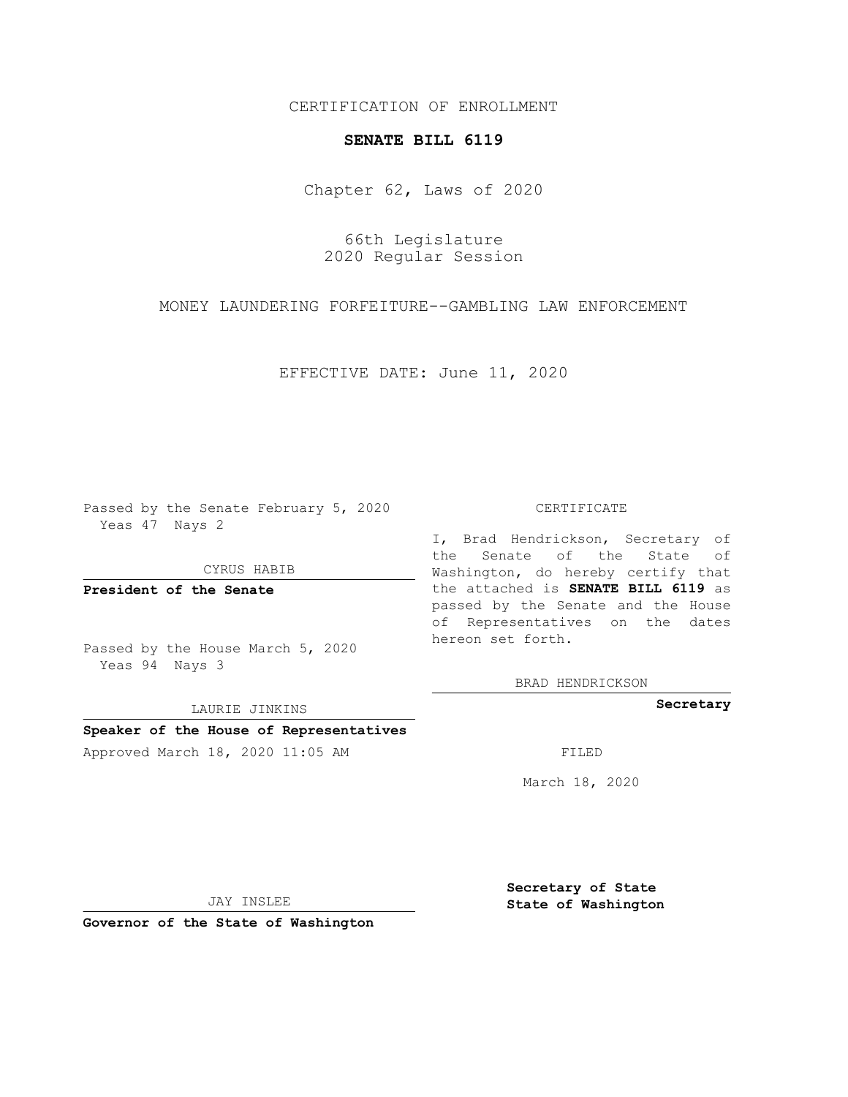CERTIFICATION OF ENROLLMENT

## **SENATE BILL 6119**

Chapter 62, Laws of 2020

66th Legislature 2020 Regular Session

MONEY LAUNDERING FORFEITURE--GAMBLING LAW ENFORCEMENT

EFFECTIVE DATE: June 11, 2020

Passed by the Senate February 5, 2020 Yeas 47 Nays 2

CYRUS HABIB

**President of the Senate**

Passed by the House March 5, 2020 Yeas 94 Nays 3

LAURIE JINKINS

## **Speaker of the House of Representatives**

Approved March 18, 2020 11:05 AM FILED

#### CERTIFICATE

I, Brad Hendrickson, Secretary of the Senate of the State of Washington, do hereby certify that the attached is **SENATE BILL 6119** as passed by the Senate and the House of Representatives on the dates hereon set forth.

BRAD HENDRICKSON

**Secretary**

March 18, 2020

JAY INSLEE

**Governor of the State of Washington**

**Secretary of State State of Washington**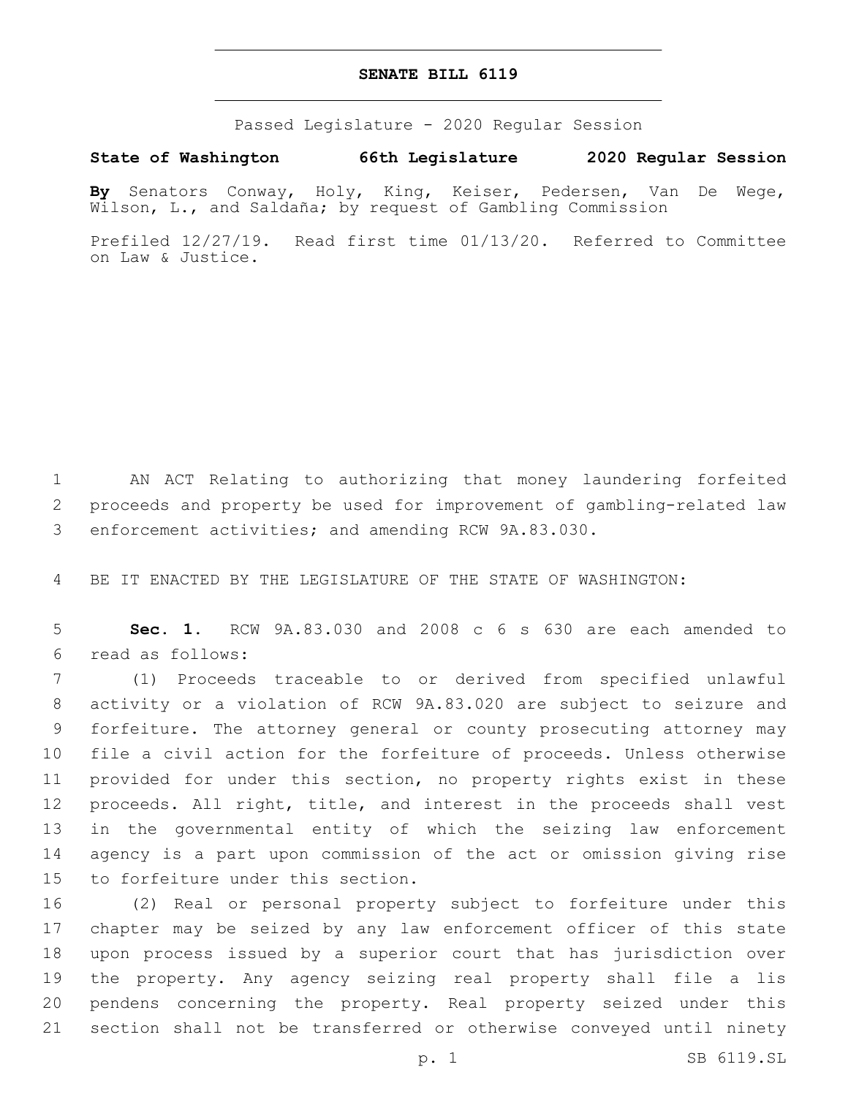# **SENATE BILL 6119**

Passed Legislature - 2020 Regular Session

# **State of Washington 66th Legislature 2020 Regular Session**

**By** Senators Conway, Holy, King, Keiser, Pedersen, Van De Wege, Wilson, L., and Saldaña; by request of Gambling Commission

Prefiled 12/27/19. Read first time 01/13/20. Referred to Committee on Law & Justice.

 AN ACT Relating to authorizing that money laundering forfeited proceeds and property be used for improvement of gambling-related law enforcement activities; and amending RCW 9A.83.030.

BE IT ENACTED BY THE LEGISLATURE OF THE STATE OF WASHINGTON:

 **Sec. 1.** RCW 9A.83.030 and 2008 c 6 s 630 are each amended to read as follows:6

 (1) Proceeds traceable to or derived from specified unlawful activity or a violation of RCW 9A.83.020 are subject to seizure and forfeiture. The attorney general or county prosecuting attorney may file a civil action for the forfeiture of proceeds. Unless otherwise provided for under this section, no property rights exist in these proceeds. All right, title, and interest in the proceeds shall vest in the governmental entity of which the seizing law enforcement agency is a part upon commission of the act or omission giving rise 15 to forfeiture under this section.

 (2) Real or personal property subject to forfeiture under this chapter may be seized by any law enforcement officer of this state upon process issued by a superior court that has jurisdiction over the property. Any agency seizing real property shall file a lis pendens concerning the property. Real property seized under this section shall not be transferred or otherwise conveyed until ninety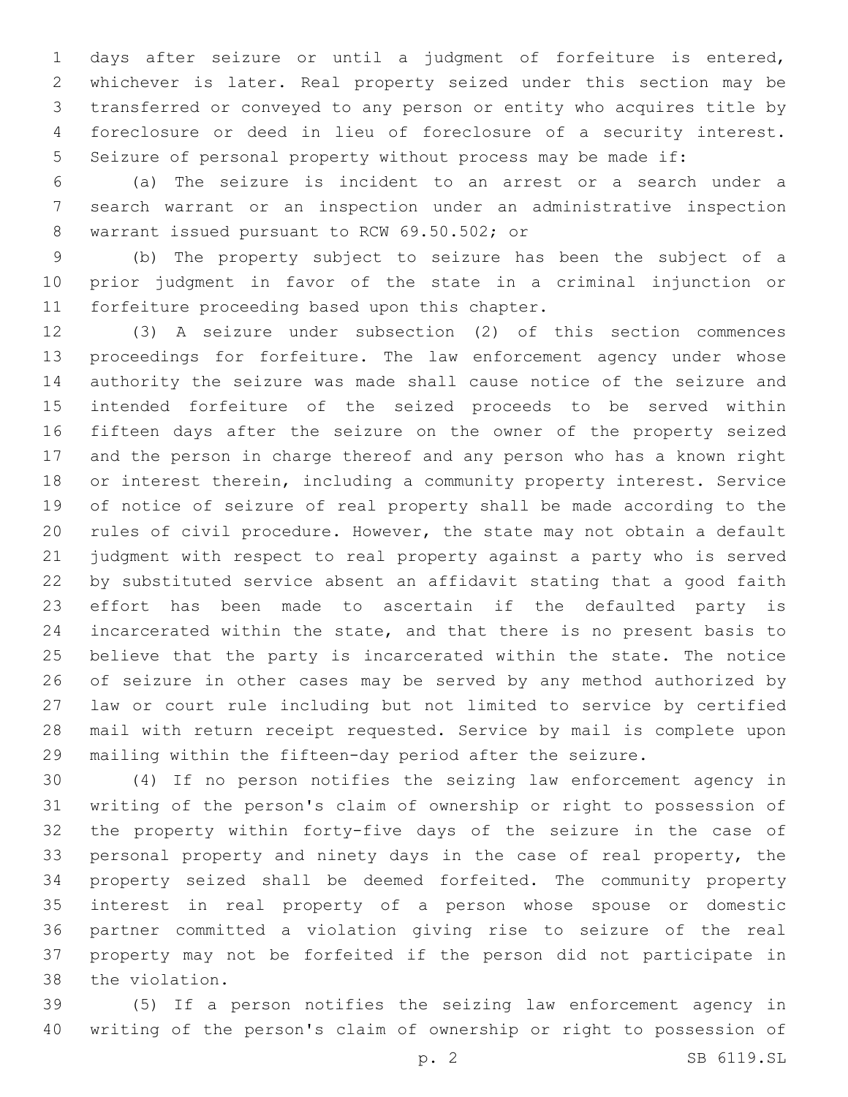days after seizure or until a judgment of forfeiture is entered, whichever is later. Real property seized under this section may be transferred or conveyed to any person or entity who acquires title by foreclosure or deed in lieu of foreclosure of a security interest. Seizure of personal property without process may be made if:

 (a) The seizure is incident to an arrest or a search under a search warrant or an inspection under an administrative inspection 8 warrant issued pursuant to RCW 69.50.502; or

 (b) The property subject to seizure has been the subject of a prior judgment in favor of the state in a criminal injunction or 11 forfeiture proceeding based upon this chapter.

 (3) A seizure under subsection (2) of this section commences proceedings for forfeiture. The law enforcement agency under whose authority the seizure was made shall cause notice of the seizure and intended forfeiture of the seized proceeds to be served within fifteen days after the seizure on the owner of the property seized and the person in charge thereof and any person who has a known right or interest therein, including a community property interest. Service of notice of seizure of real property shall be made according to the rules of civil procedure. However, the state may not obtain a default judgment with respect to real property against a party who is served by substituted service absent an affidavit stating that a good faith effort has been made to ascertain if the defaulted party is incarcerated within the state, and that there is no present basis to believe that the party is incarcerated within the state. The notice of seizure in other cases may be served by any method authorized by law or court rule including but not limited to service by certified mail with return receipt requested. Service by mail is complete upon mailing within the fifteen-day period after the seizure.

 (4) If no person notifies the seizing law enforcement agency in writing of the person's claim of ownership or right to possession of the property within forty-five days of the seizure in the case of personal property and ninety days in the case of real property, the property seized shall be deemed forfeited. The community property interest in real property of a person whose spouse or domestic partner committed a violation giving rise to seizure of the real property may not be forfeited if the person did not participate in 38 the violation.

 (5) If a person notifies the seizing law enforcement agency in writing of the person's claim of ownership or right to possession of